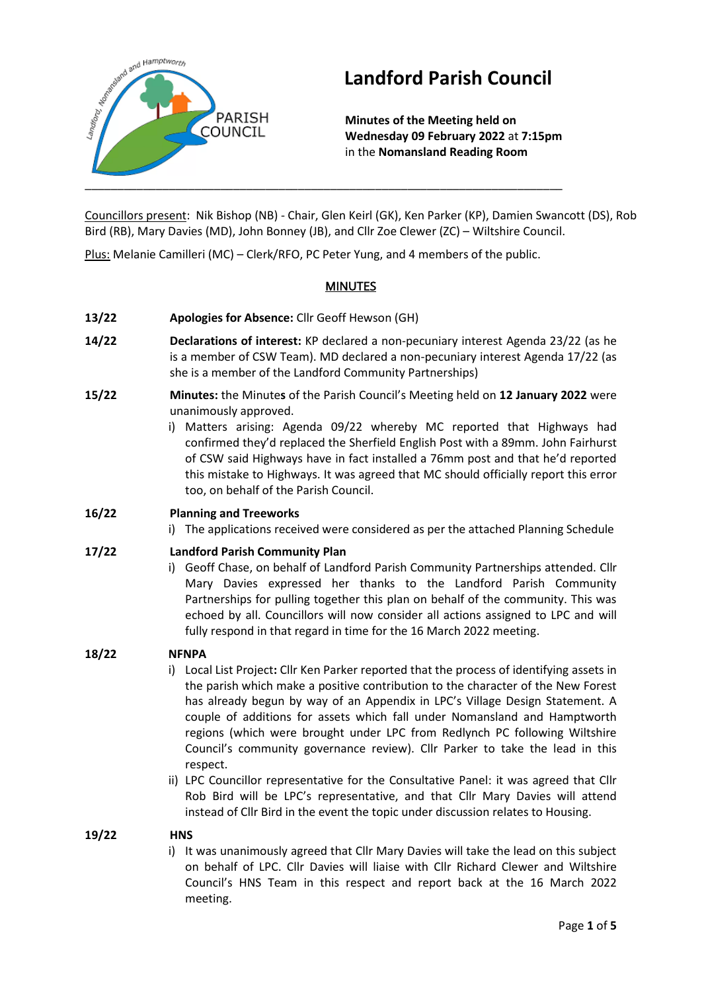

# **Landford Parish Council**

**Minutes of the Meeting held on Wednesday 09 February 2022** at **7:15pm** in the **Nomansland Reading Room**

Councillors present: Nik Bishop (NB) - Chair, Glen Keirl (GK), Ken Parker (KP), Damien Swancott (DS), Rob Bird (RB), Mary Davies (MD), John Bonney (JB), and Cllr Zoe Clewer (ZC) – Wiltshire Council.

Plus: Melanie Camilleri (MC) – Clerk/RFO, PC Peter Yung, and 4 members of the public.

# **MINUTES**

- **13/22 Apologies for Absence:** Cllr Geoff Hewson (GH)
- **14/22 Declarations of interest:** KP declared a non-pecuniary interest Agenda 23/22 (as he is a member of CSW Team). MD declared a non-pecuniary interest Agenda 17/22 (as she is a member of the Landford Community Partnerships)
- **15/22 Minutes:** the Minute**s** of the Parish Council's Meeting held on **12 January 2022** were unanimously approved.
	- i) Matters arising: Agenda 09/22 whereby MC reported that Highways had confirmed they'd replaced the Sherfield English Post with a 89mm. John Fairhurst of CSW said Highways have in fact installed a 76mm post and that he'd reported this mistake to Highways. It was agreed that MC should officially report this error too, on behalf of the Parish Council.

# **16/22 Planning and Treeworks**

i) The applications received were considered as per the attached Planning Schedule

# **17/22 Landford Parish Community Plan**

i) Geoff Chase, on behalf of Landford Parish Community Partnerships attended. Cllr Mary Davies expressed her thanks to the Landford Parish Community Partnerships for pulling together this plan on behalf of the community. This was echoed by all. Councillors will now consider all actions assigned to LPC and will fully respond in that regard in time for the 16 March 2022 meeting.

# **18/22 NFNPA**

- i) Local List Project**:** Cllr Ken Parker reported that the process of identifying assets in the parish which make a positive contribution to the character of the New Forest has already begun by way of an Appendix in LPC's Village Design Statement. A couple of additions for assets which fall under Nomansland and Hamptworth regions (which were brought under LPC from Redlynch PC following Wiltshire Council's community governance review). Cllr Parker to take the lead in this respect.
- ii) LPC Councillor representative for the Consultative Panel: it was agreed that Cllr Rob Bird will be LPC's representative, and that Cllr Mary Davies will attend instead of Cllr Bird in the event the topic under discussion relates to Housing.

# **19/22 HNS**

i) It was unanimously agreed that Cllr Mary Davies will take the lead on this subject on behalf of LPC. Cllr Davies will liaise with Cllr Richard Clewer and Wiltshire Council's HNS Team in this respect and report back at the 16 March 2022 meeting.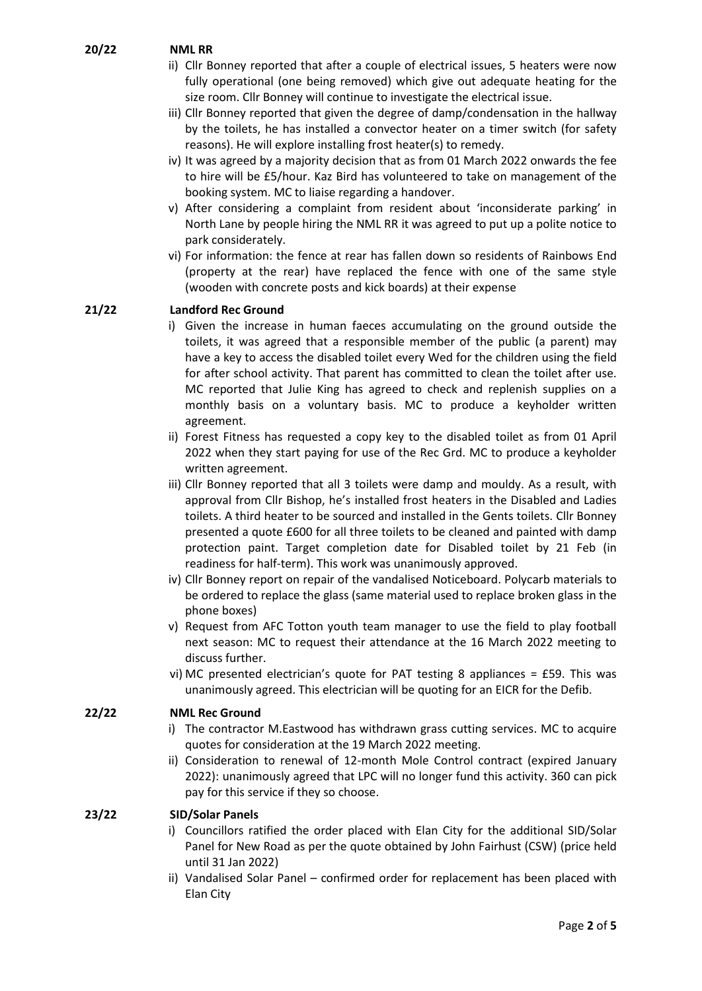# **20/22 NML RR**

- ii) Cllr Bonney reported that after a couple of electrical issues, 5 heaters were now fully operational (one being removed) which give out adequate heating for the size room. Cllr Bonney will continue to investigate the electrical issue.
- iii) Cllr Bonney reported that given the degree of damp/condensation in the hallway by the toilets, he has installed a convector heater on a timer switch (for safety reasons). He will explore installing frost heater(s) to remedy.
- iv) It was agreed by a majority decision that as from 01 March 2022 onwards the fee to hire will be £5/hour. Kaz Bird has volunteered to take on management of the booking system. MC to liaise regarding a handover.
- v) After considering a complaint from resident about 'inconsiderate parking' in North Lane by people hiring the NML RR it was agreed to put up a polite notice to park considerately.
- vi) For information: the fence at rear has fallen down so residents of Rainbows End (property at the rear) have replaced the fence with one of the same style (wooden with concrete posts and kick boards) at their expense

# **21/22 Landford Rec Ground**

- i) Given the increase in human faeces accumulating on the ground outside the toilets, it was agreed that a responsible member of the public (a parent) may have a key to access the disabled toilet every Wed for the children using the field for after school activity. That parent has committed to clean the toilet after use. MC reported that Julie King has agreed to check and replenish supplies on a monthly basis on a voluntary basis. MC to produce a keyholder written agreement.
- ii) Forest Fitness has requested a copy key to the disabled toilet as from 01 April 2022 when they start paying for use of the Rec Grd. MC to produce a keyholder written agreement.
- iii) Cllr Bonney reported that all 3 toilets were damp and mouldy. As a result, with approval from Cllr Bishop, he's installed frost heaters in the Disabled and Ladies toilets. A third heater to be sourced and installed in the Gents toilets. Cllr Bonney presented a quote £600 for all three toilets to be cleaned and painted with damp protection paint. Target completion date for Disabled toilet by 21 Feb (in readiness for half-term). This work was unanimously approved.
- iv) Cllr Bonney report on repair of the vandalised Noticeboard. Polycarb materials to be ordered to replace the glass (same material used to replace broken glass in the phone boxes)
- v) Request from AFC Totton youth team manager to use the field to play football next season: MC to request their attendance at the 16 March 2022 meeting to discuss further.
- vi) MC presented electrician's quote for PAT testing 8 appliances = £59. This was unanimously agreed. This electrician will be quoting for an EICR for the Defib.

# **22/22 NML Rec Ground**

- i) The contractor M.Eastwood has withdrawn grass cutting services. MC to acquire quotes for consideration at the 19 March 2022 meeting.
- ii) Consideration to renewal of 12-month Mole Control contract (expired January 2022): unanimously agreed that LPC will no longer fund this activity. 360 can pick pay for this service if they so choose.

# **23/22 SID/Solar Panels**

- i) Councillors ratified the order placed with Elan City for the additional SID/Solar Panel for New Road as per the quote obtained by John Fairhust (CSW) (price held until 31 Jan 2022)
- ii) Vandalised Solar Panel confirmed order for replacement has been placed with Elan City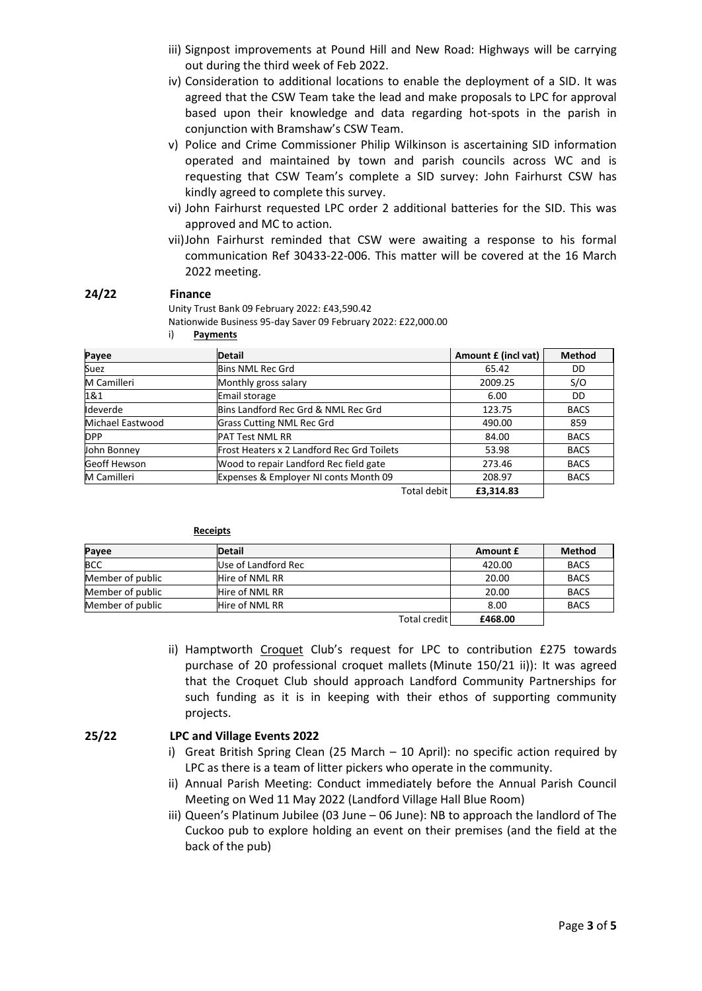- iii) Signpost improvements at Pound Hill and New Road: Highways will be carrying out during the third week of Feb 2022.
- iv) Consideration to additional locations to enable the deployment of a SID. It was agreed that the CSW Team take the lead and make proposals to LPC for approval based upon their knowledge and data regarding hot-spots in the parish in conjunction with Bramshaw's CSW Team.
- v) Police and Crime Commissioner Philip Wilkinson is ascertaining SID information operated and maintained by town and parish councils across WC and is requesting that CSW Team's complete a SID survey: John Fairhurst CSW has kindly agreed to complete this survey.
- vi) John Fairhurst requested LPC order 2 additional batteries for the SID. This was approved and MC to action.
- vii)John Fairhurst reminded that CSW were awaiting a response to his formal communication Ref 30433-22-006. This matter will be covered at the 16 March 2022 meeting.

#### **24/22 Finance**

Unity Trust Bank 09 February 2022: £43,590.42 Nationwide Business 95-day Saver 09 February 2022: £22,000.00

i) **Payments**

| Payee              | <b>Detail</b>                              | Amount £ (incl vat) | <b>Method</b> |
|--------------------|--------------------------------------------|---------------------|---------------|
| Suez               | <b>Bins NML Rec Grd</b>                    | 65.42               | DD            |
| M Camilleri        | Monthly gross salary                       | 2009.25             | S/O           |
| 1&1                | Email storage                              | 6.00                | DD            |
| Ideverde           | Bins Landford Rec Grd & NML Rec Grd        | 123.75              | <b>BACS</b>   |
| Michael Eastwood   | <b>Grass Cutting NML Rec Grd</b>           | 490.00              | 859           |
| <b>DPP</b>         | <b>PAT Test NML RR</b>                     | 84.00               | <b>BACS</b>   |
| John Bonney        | Frost Heaters x 2 Landford Rec Grd Toilets | 53.98               | <b>BACS</b>   |
| Geoff Hewson       | Wood to repair Landford Rec field gate     | 273.46              | <b>BACS</b>   |
| <b>M</b> Camilleri | Expenses & Employer NI conts Month 09      | 208.97              | <b>BACS</b>   |
|                    | Total debit                                | £3,314.83           |               |

| кесеют |  |
|--------|--|
|        |  |

| Payee            | <b>Detail</b>       |                | Amount £ | <b>Method</b> |
|------------------|---------------------|----------------|----------|---------------|
| <b>BCC</b>       | Use of Landford Rec |                | 420.00   | <b>BACS</b>   |
| Member of public | Hire of NML RR      |                | 20.00    | <b>BACS</b>   |
| Member of public | Hire of NML RR      |                | 20.00    | <b>BACS</b>   |
| Member of public | Hire of NML RR      |                | 8.00     | <b>BACS</b>   |
|                  |                     | Total credit I | £468.00  |               |

ii) Hamptworth Croquet Club's request for LPC to contribution £275 towards purchase of 20 professional croquet mallets (Minute 150/21 ii)): It was agreed that the Croquet Club should approach Landford Community Partnerships for such funding as it is in keeping with their ethos of supporting community projects.

#### **25/22 LPC and Village Events 2022**

- i) Great British Spring Clean (25 March 10 April): no specific action required by LPC as there is a team of litter pickers who operate in the community.
- ii) Annual Parish Meeting: Conduct immediately before the Annual Parish Council Meeting on Wed 11 May 2022 (Landford Village Hall Blue Room)
- iii) Queen's Platinum Jubilee (03 June 06 June): NB to approach the landlord of The Cuckoo pub to explore holding an event on their premises (and the field at the back of the pub)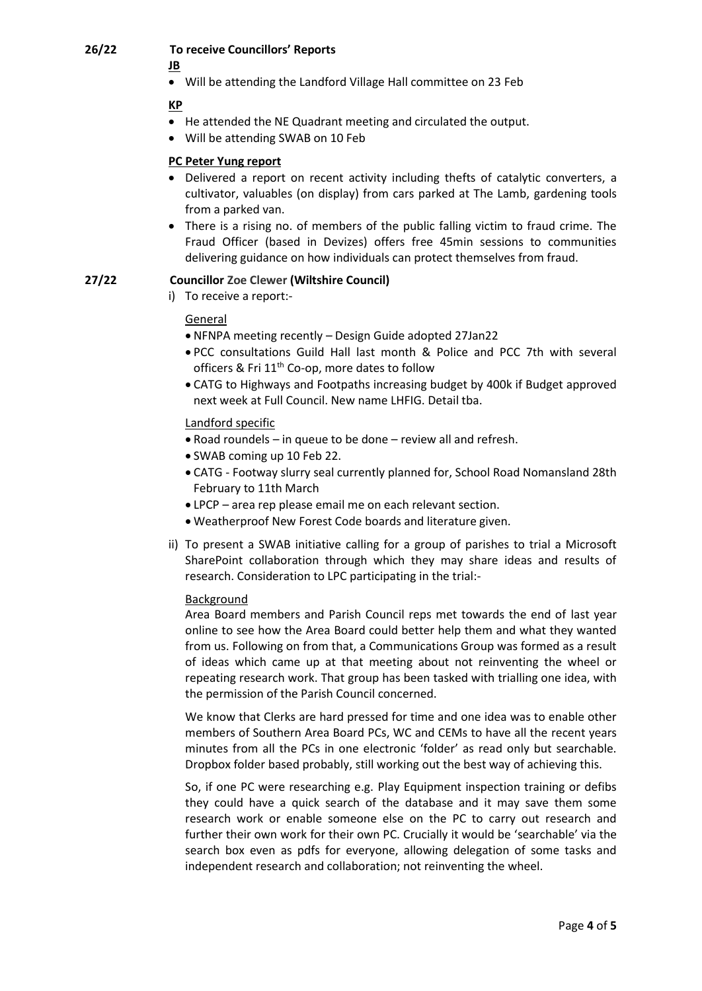# **26/22 To receive Councillors' Reports**

**JB**

• Will be attending the Landford Village Hall committee on 23 Feb

**KP**

- He attended the NE Quadrant meeting and circulated the output.
- Will be attending SWAB on 10 Feb

# **PC Peter Yung report**

- Delivered a report on recent activity including thefts of catalytic converters, a cultivator, valuables (on display) from cars parked at The Lamb, gardening tools from a parked van.
- There is a rising no. of members of the public falling victim to fraud crime. The Fraud Officer (based in Devizes) offers free 45min sessions to communities delivering guidance on how individuals can protect themselves from fraud.

# **27/22 Councillor Zoe Clewer (Wiltshire Council)**

i) To receive a report:-

# General

- NFNPA meeting recently Design Guide adopted 27Jan22
- PCC consultations Guild Hall last month & Police and PCC 7th with several officers & Fri 11<sup>th</sup> Co-op, more dates to follow
- CATG to Highways and Footpaths increasing budget by 400k if Budget approved next week at Full Council. New name LHFIG. Detail tba.

# Landford specific

- Road roundels in queue to be done review all and refresh.
- SWAB coming up 10 Feb 22.
- CATG Footway slurry seal currently planned for, School Road Nomansland 28th February to 11th March
- LPCP area rep please email me on each relevant section.
- Weatherproof New Forest Code boards and literature given.
- ii) To present a SWAB initiative calling for a group of parishes to trial a Microsoft SharePoint collaboration through which they may share ideas and results of research. Consideration to LPC participating in the trial:-

# **Background**

Area Board members and Parish Council reps met towards the end of last year online to see how the Area Board could better help them and what they wanted from us. Following on from that, a Communications Group was formed as a result of ideas which came up at that meeting about not reinventing the wheel or repeating research work. That group has been tasked with trialling one idea, with the permission of the Parish Council concerned.

We know that Clerks are hard pressed for time and one idea was to enable other members of Southern Area Board PCs, WC and CEMs to have all the recent years minutes from all the PCs in one electronic 'folder' as read only but searchable. Dropbox folder based probably, still working out the best way of achieving this.

So, if one PC were researching e.g. Play Equipment inspection training or defibs they could have a quick search of the database and it may save them some research work or enable someone else on the PC to carry out research and further their own work for their own PC. Crucially it would be 'searchable' via the search box even as pdfs for everyone, allowing delegation of some tasks and independent research and collaboration; not reinventing the wheel.